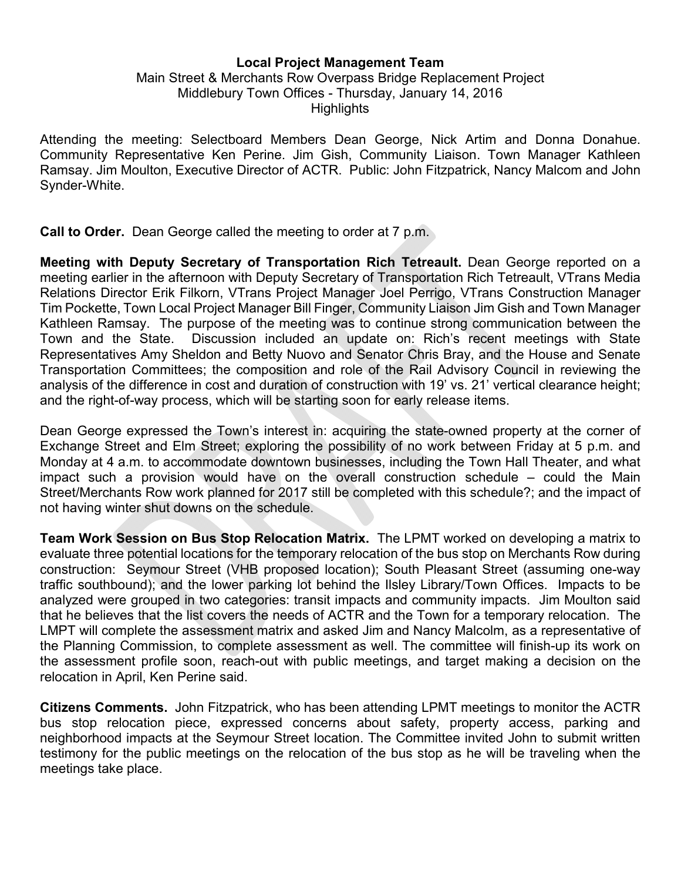## Local Project Management Team

## Main Street & Merchants Row Overpass Bridge Replacement Project Middlebury Town Offices - Thursday, January 14, 2016 **Highlights**

Attending the meeting: Selectboard Members Dean George, Nick Artim and Donna Donahue. Community Representative Ken Perine. Jim Gish, Community Liaison. Town Manager Kathleen Ramsay. Jim Moulton, Executive Director of ACTR. Public: John Fitzpatrick, Nancy Malcom and John Synder-White.

Call to Order. Dean George called the meeting to order at 7 p.m.

Meeting with Deputy Secretary of Transportation Rich Tetreault. Dean George reported on a meeting earlier in the afternoon with Deputy Secretary of Transportation Rich Tetreault, VTrans Media Relations Director Erik Filkorn, VTrans Project Manager Joel Perrigo, VTrans Construction Manager Tim Pockette, Town Local Project Manager Bill Finger, Community Liaison Jim Gish and Town Manager Kathleen Ramsay. The purpose of the meeting was to continue strong communication between the Town and the State. Discussion included an update on: Rich's recent meetings with State Representatives Amy Sheldon and Betty Nuovo and Senator Chris Bray, and the House and Senate Transportation Committees; the composition and role of the Rail Advisory Council in reviewing the analysis of the difference in cost and duration of construction with 19' vs. 21' vertical clearance height; and the right-of-way process, which will be starting soon for early release items.

Dean George expressed the Town's interest in: acquiring the state-owned property at the corner of Exchange Street and Elm Street; exploring the possibility of no work between Friday at 5 p.m. and Monday at 4 a.m. to accommodate downtown businesses, including the Town Hall Theater, and what impact such a provision would have on the overall construction schedule – could the Main Street/Merchants Row work planned for 2017 still be completed with this schedule?; and the impact of not having winter shut downs on the schedule.

Team Work Session on Bus Stop Relocation Matrix. The LPMT worked on developing a matrix to evaluate three potential locations for the temporary relocation of the bus stop on Merchants Row during construction: Seymour Street (VHB proposed location); South Pleasant Street (assuming one-way traffic southbound); and the lower parking lot behind the Ilsley Library/Town Offices. Impacts to be analyzed were grouped in two categories: transit impacts and community impacts. Jim Moulton said that he believes that the list covers the needs of ACTR and the Town for a temporary relocation. The LMPT will complete the assessment matrix and asked Jim and Nancy Malcolm, as a representative of the Planning Commission, to complete assessment as well. The committee will finish-up its work on the assessment profile soon, reach-out with public meetings, and target making a decision on the relocation in April, Ken Perine said.

Citizens Comments. John Fitzpatrick, who has been attending LPMT meetings to monitor the ACTR bus stop relocation piece, expressed concerns about safety, property access, parking and neighborhood impacts at the Seymour Street location. The Committee invited John to submit written testimony for the public meetings on the relocation of the bus stop as he will be traveling when the meetings take place.